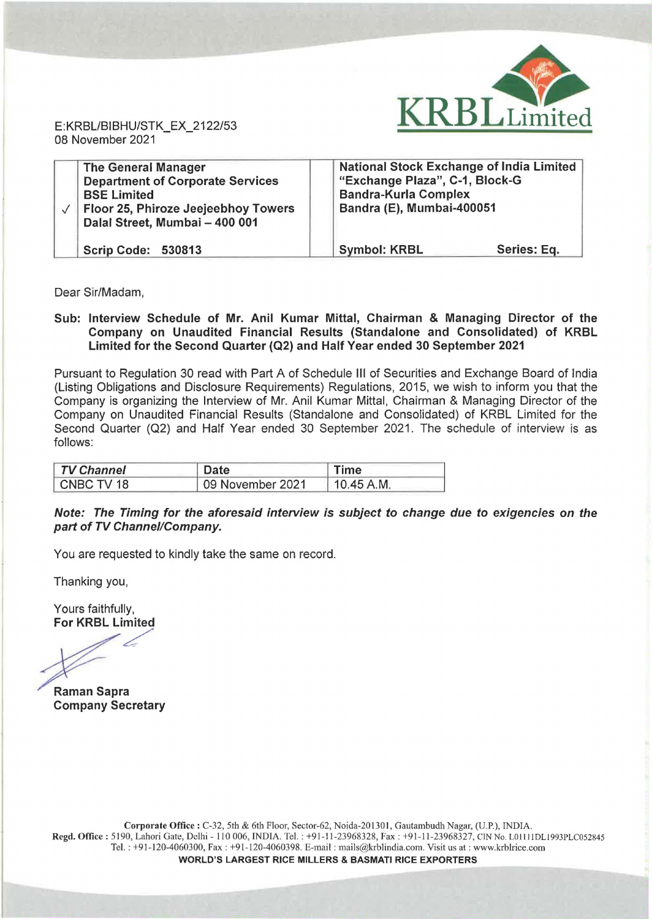

E: KRBL/BIBHU/STK\_EX\_2122/53 08 November 2021

| <b>The General Manager</b><br><b>Department of Corporate Services</b><br><b>BSE Limited</b><br>Floor 25, Phiroze Jeejeebhoy Towers<br>Dalal Street, Mumbai - 400 001 | <b>National Stock Exchange of India Limited</b><br>"Exchange Plaza", C-1, Block-G<br><b>Bandra-Kurla Complex</b><br>Bandra (E), Mumbai-400051 |
|----------------------------------------------------------------------------------------------------------------------------------------------------------------------|-----------------------------------------------------------------------------------------------------------------------------------------------|
| <b>Scrip Code: 530813</b>                                                                                                                                            | <b>Symbol: KRBL</b><br>Series: Eq.                                                                                                            |

Dear Sir/Madam,

Sub: Interview Schedule of Mr. Anil Kumar Mittal, Chairman & Managing Director of the Company on Unaudited Financial Results (Standalone and Consolidated) of KRBL Limited for the Second Quarter (Q2) and Half Year ended 30 September 2021

Pursuant to Regulation 30 read with Part A of Schedule Ill of Securities and Exchange Board of India (Listing Obligations and Disclosure Requirements) Regulations, 2015, we wish to inform you that the Company is organizing the Interview of Mr. Anil Kumar Mittal, Chairman & Managing Director of the Company on Unaudited Financial Results (Standalone and Consolidated) of KRBL Limited for the Second Quarter (02) and Half Year ended 30 September 2021. The schedule of interview is as follows:

| <b>TV Channel</b> | Date             | <b>Time</b> |  |
|-------------------|------------------|-------------|--|
| CNBC TV 18        | 09 November 2021 | 10.45 A.M.  |  |

## Note: The Timing for the aforesaid interview is subject to change due to exigencies on the part of TV Channel/Company.

You are requested to kindly take the same on record.

Thanking you,

Yours faithfully, For KRBL Limited

 $\epsilon$ 

Raman Sapra Company Secretary